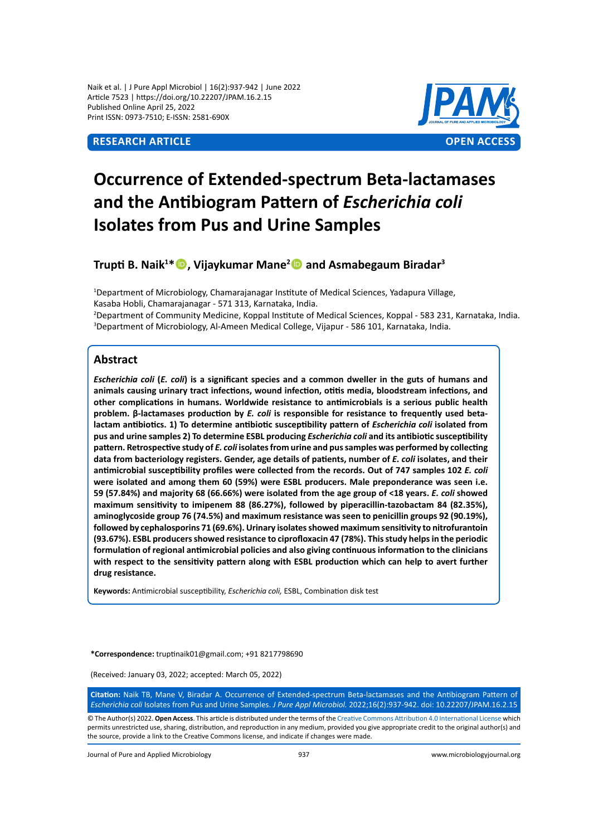Naik et al. | J Pure Appl Microbiol | 16(2):937-942 | June 2022 Article 7523 | https://doi.org/10.22207/JPAM.16.2.15 Published Online April 25, 2022 Print ISSN: 0973-7510; E-ISSN: 2581-690X



# **Occurrence of Extended-spectrum Beta-lactamases and the Antibiogram Pattern of** *Escherichia coli*  **Isolates from Pus and Urine Samples**

**Trupti B. Naik<sup>1</sup> \*, Vijaykumar Mane<sup>2</sup> and Asmabegaum Biradar<sup>3</sup>**

1 Department of Microbiology, Chamarajanagar Institute of Medical Sciences, Yadapura Village, Kasaba Hobli, Chamarajanagar - 571 313, Karnataka, India. 2 Department of Community Medicine, Koppal Institute of Medical Sciences, Koppal - 583 231, Karnataka, India.

3 Department of Microbiology, Al-Ameen Medical College, Vijapur - 586 101, Karnataka, India.

# **Abstract**

*Escherichia coli* **(***E. coli***) is a significant species and a common dweller in the guts of humans and animals causing urinary tract infections, wound infection, otitis media, bloodstream infections, and other complications in humans. Worldwide resistance to antimicrobials is a serious public health problem. β-lactamases production by** *E. coli* **is responsible for resistance to frequently used betalactam antibiotics. 1) To determine antibiotic susceptibility pattern of** *Escherichia coli* **isolated from pus and urine samples 2) To determine ESBL producing** *Escherichia coli* **and its antibiotic susceptibility pattern. Retrospective study of** *E. coli* **isolates from urine and pus samples was performed by collecting data from bacteriology registers. Gender, age details of patients, number of** *E. coli* **isolates, and their antimicrobial susceptibility profiles were collected from the records. Out of 747 samples 102** *E. coli* **were isolated and among them 60 (59%) were ESBL producers. Male preponderance was seen i.e. 59 (57.84%) and majority 68 (66.66%) were isolated from the age group of <18 years.** *E. coli* **showed maximum sensitivity to imipenem 88 (86.27%), followed by piperacillin-tazobactam 84 (82.35%), aminoglycoside group 76 (74.5%) and maximum resistance was seen to penicillin groups 92 (90.19%), followed by cephalosporins 71 (69.6%). Urinary isolates showed maximum sensitivity to nitrofurantoin (93.67%). ESBL producers showed resistance to ciprofloxacin 47 (78%). This study helps in the periodic formulation of regional antimicrobial policies and also giving continuous information to the clinicians with respect to the sensitivity pattern along with ESBL production which can help to avert further drug resistance.**

**Keywords:** Antimicrobial susceptibility, *Escherichia coli,* ESBL, Combination disk test

**\*Correspondence:** truptinaik01@gmail.com; +91 8217798690

(Received: January 03, 2022; accepted: March 05, 2022)

**Citation:** Naik TB, Mane V, Biradar A. Occurrence of Extended-spectrum Beta-lactamases and the Antibiogram Pattern of *Escherichia coli* Isolates from Pus and Urine Samples. *J Pure Appl Microbiol.* 2022;16(2):937-942. doi: 10.22207/JPAM.16.2.15

© The Author(s) 2022. **Open Access**. This article is distributed under the terms of the [Creative Commons Attribution 4.0 International License](https://creativecommons.org/licenses/by/4.0/) which permits unrestricted use, sharing, distribution, and reproduction in any medium, provided you give appropriate credit to the original author(s) and the source, provide a link to the Creative Commons license, and indicate if changes were made.

Journal of Pure and Applied Microbiology 937 www.microbiologyjournal.org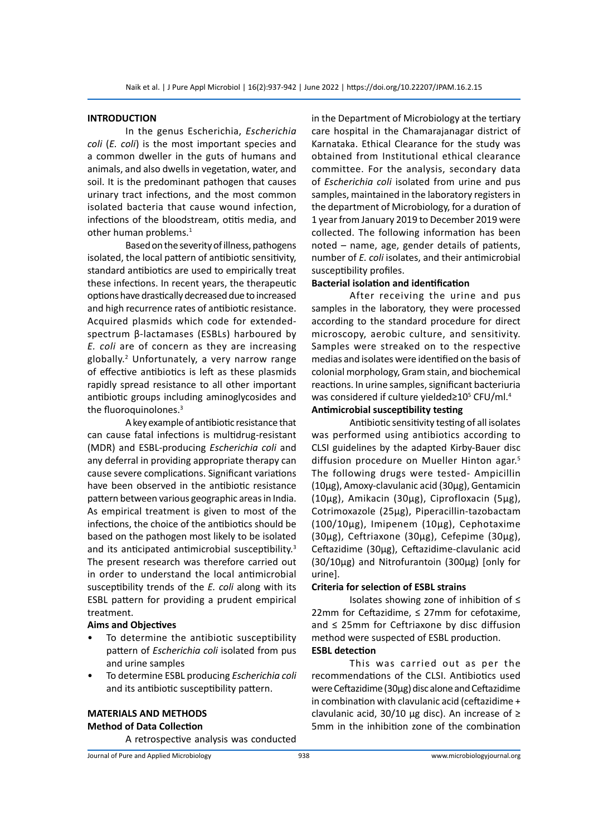#### **INTRODUCTION**

In the genus Escherichia, *Escherichia coli* (*E. coli*) is the most important species and a common dweller in the guts of humans and animals, and also dwells in vegetation, water, and soil. It is the predominant pathogen that causes urinary tract infections, and the most common isolated bacteria that cause wound infection, infections of the bloodstream, otitis media, and other human problems.<sup>1</sup>

Based on the severity of illness, pathogens isolated, the local pattern of antibiotic sensitivity, standard antibiotics are used to empirically treat these infections. In recent years, the therapeutic options have drastically decreased due to increased and high recurrence rates of antibiotic resistance. Acquired plasmids which code for extendedspectrum β-lactamases (ESBLs) harboured by *E. coli* are of concern as they are increasing globally.2 Unfortunately, a very narrow range of effective antibiotics is left as these plasmids rapidly spread resistance to all other important antibiotic groups including aminoglycosides and the fluoroquinolones.<sup>3</sup>

A key example of antibiotic resistance that can cause fatal infections is multidrug-resistant (MDR) and ESBL-producing *Escherichia coli* and any deferral in providing appropriate therapy can cause severe complications. Significant variations have been observed in the antibiotic resistance pattern between various geographic areas in India. As empirical treatment is given to most of the infections, the choice of the antibiotics should be based on the pathogen most likely to be isolated and its anticipated antimicrobial susceptibility.3 The present research was therefore carried out in order to understand the local antimicrobial susceptibility trends of the *E. coli* along with its ESBL pattern for providing a prudent empirical treatment.

### **Aims and Objectives**

- To determine the antibiotic susceptibility pattern of *Escherichia coli* isolated from pus and urine samples
- To determine ESBL producing *Escherichia coli* and its antibiotic susceptibility pattern.

# **MATERIALS AND METHODS Method of Data Collection**

A retrospective analysis was conducted

in the Department of Microbiology at the tertiary care hospital in the Chamarajanagar district of Karnataka. Ethical Clearance for the study was obtained from Institutional ethical clearance committee. For the analysis, secondary data of *Escherichia coli* isolated from urine and pus samples, maintained in the laboratory registers in the department of Microbiology, for a duration of 1 year from January 2019 to December 2019 were collected. The following information has been noted – name, age, gender details of patients, number of *E. coli* isolates, and their antimicrobial susceptibility profiles.

#### **Bacterial isolation and identification**

After receiving the urine and pus samples in the laboratory, they were processed according to the standard procedure for direct microscopy, aerobic culture, and sensitivity. Samples were streaked on to the respective medias and isolates were identified on the basis of colonial morphology, Gram stain, and biochemical reactions. In urine samples, significant bacteriuria was considered if culture yielded≥10<sup>5</sup> CFU/ml.<sup>4</sup>

# **Antimicrobial susceptibility testing**

Antibiotic sensitivity testing of all isolates was performed using antibiotics according to CLSI guidelines by the adapted Kirby-Bauer disc diffusion procedure on Mueller Hinton agar.<sup>5</sup> The following drugs were tested- Ampicillin (10μg), Amoxy-clavulanic acid (30μg), Gentamicin (10μg), Amikacin (30μg), Ciprofloxacin (5μg), Cotrimoxazole (25μg), Piperacillin-tazobactam (100/10μg), Imipenem (10μg), Cephotaxime (30μg), Ceftriaxone (30μg), Cefepime (30μg), Ceftazidime (30μg), Ceftazidime-clavulanic acid (30/10μg) and Nitrofurantoin (300μg) [only for urine].

#### **Criteria for selection of ESBL strains**

Isolates showing zone of inhibition of ≤ 22mm for Ceftazidime, ≤ 27mm for cefotaxime, and ≤ 25mm for Ceftriaxone by disc diffusion method were suspected of ESBL production.

# **ESBL detection**

This was carried out as per the recommendations of the CLSI. Antibiotics used were Ceftazidime (30μg) disc alone and Ceftazidime in combination with clavulanic acid (ceftazidime + clavulanic acid, 30/10 μg disc). An increase of  $≥$ 5mm in the inhibition zone of the combination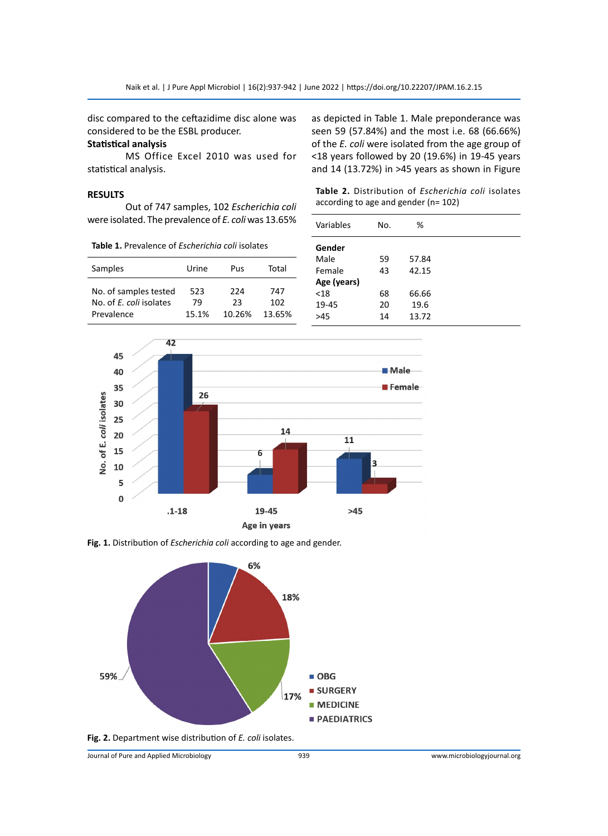disc compared to the ceftazidime disc alone was considered to be the ESBL producer.

### **Statistical analysis**

MS Office Excel 2010 was used for statistical analysis.

#### **RESULTS**

Out of 747 samples, 102 *Escherichia coli* were isolated. The prevalence of *E. coli* was 13.65%

**Table 1.** Prevalence of *Escherichia coli* isolates

| Samples                                                        | Urine              | Pus                 | Total                |
|----------------------------------------------------------------|--------------------|---------------------|----------------------|
| No. of samples tested<br>No. of E. coli isolates<br>Prevalence | 523<br>79<br>15.1% | 224<br>つろ<br>10.26% | 747<br>102<br>13.65% |

as depicted in Table 1. Male preponderance was seen 59 (57.84%) and the most i.e. 68 (66.66%) of the *E. coli* were isolated from the age group of <18 years followed by 20 (19.6%) in 19-45 years and 14 (13.72%) in >45 years as shown in Figure

**Table 2.** Distribution of *Escherichia coli* isolates according to age and gender (n= 102)

| %     |  |
|-------|--|
|       |  |
| 57.84 |  |
| 42.15 |  |
|       |  |
| 66.66 |  |
| 19.6  |  |
| 13.72 |  |
|       |  |



**Fig. 1.** Distribution of *Escherichia coli* according to age and gender.



**Fig. 2.** Department wise distribution of *E. coli* isolates.

Journal of Pure and Applied Microbiology 939 www.microbiologyjournal.org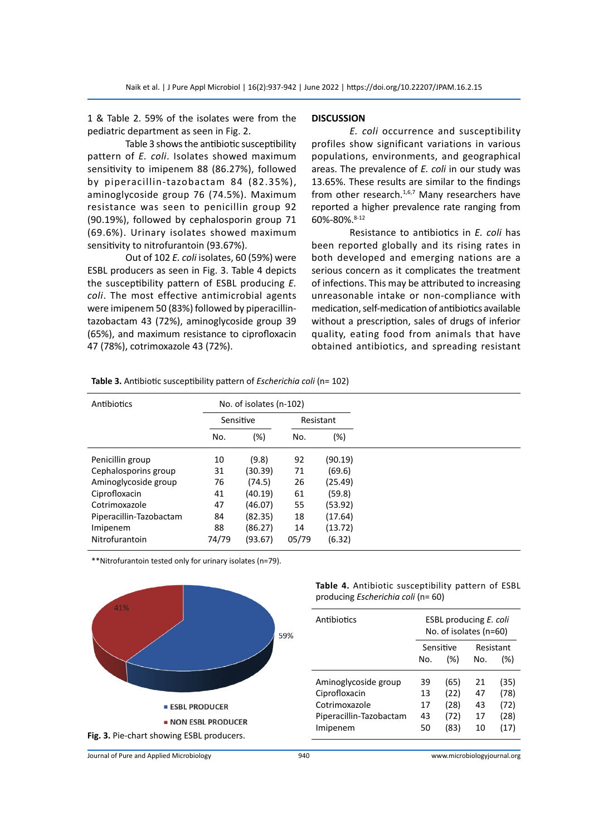1 & Table 2. 59% of the isolates were from the pediatric department as seen in Fig. 2.

Table 3 shows the antibiotic susceptibility pattern of *E. coli*. Isolates showed maximum sensitivity to imipenem 88 (86.27%), followed by piperacillin-tazobactam 84 (82.35%), aminoglycoside group 76 (74.5%). Maximum resistance was seen to penicillin group 92 (90.19%), followed by cephalosporin group 71 (69.6%). Urinary isolates showed maximum sensitivity to nitrofurantoin (93.67%).

Out of 102 *E. coli* isolates, 60 (59%) were ESBL producers as seen in Fig. 3. Table 4 depicts the susceptibility pattern of ESBL producing *E. coli*. The most effective antimicrobial agents were imipenem 50 (83%) followed by piperacillintazobactam 43 (72%), aminoglycoside group 39 (65%), and maximum resistance to ciprofloxacin 47 (78%), cotrimoxazole 43 (72%).

#### **DISCUSSION**

*E. coli* occurrence and susceptibility profiles show significant variations in various populations, environments, and geographical areas. The prevalence of *E. coli* in our study was 13.65%. These results are similar to the findings from other research. $1,6,7$  Many researchers have reported a higher prevalence rate ranging from 60%-80%.8-12

Resistance to antibiotics in *E. coli* has been reported globally and its rising rates in both developed and emerging nations are a serious concern as it complicates the treatment of infections. This may be attributed to increasing unreasonable intake or non-compliance with medication, self-medication of antibiotics available without a prescription, sales of drugs of inferior quality, eating food from animals that have obtained antibiotics, and spreading resistant

| Table 3. Antibiotic susceptibility pattern of Escherichia coli (n= 102) |  |
|-------------------------------------------------------------------------|--|
|-------------------------------------------------------------------------|--|

| Antibiotics             | No. of isolates (n-102) |           |       |           |
|-------------------------|-------------------------|-----------|-------|-----------|
|                         |                         | Sensitive |       | Resistant |
|                         | No.                     | (%)       | No.   | (%)       |
| Penicillin group        | 10                      | (9.8)     | 92    | (90.19)   |
| Cephalosporins group    | 31                      | (30.39)   | 71    | (69.6)    |
| Aminoglycoside group    | 76                      | (74.5)    | 26    | (25.49)   |
| Ciprofloxacin           | 41                      | (40.19)   | 61    | (59.8)    |
| Cotrimoxazole           | 47                      | (46.07)   | 55    | (53.92)   |
| Piperacillin-Tazobactam | 84                      | (82.35)   | 18    | (17.64)   |
| Imipenem                | 88                      | (86.27)   | 14    | (13.72)   |
| Nitrofurantoin          | 74/79                   | (93.67)   | 05/79 | (6.32)    |

\*\*Nitrofurantoin tested only for urinary isolates (n=79).



**Table 4.** Antibiotic susceptibility pattern of ESBL producing *Escherichia coli* (n= 60)

| Antibiotics                                                                       |                      | ESBL producing E. coli<br>No. of isolates (n=60) |                      |                              |  |
|-----------------------------------------------------------------------------------|----------------------|--------------------------------------------------|----------------------|------------------------------|--|
|                                                                                   |                      | Sensitive                                        | Resistant            |                              |  |
|                                                                                   | No.                  | (%)                                              | No.                  | (%)                          |  |
| Aminoglycoside group<br>Ciprofloxacin<br>Cotrimoxazole<br>Piperacillin-Tazobactam | 39<br>13<br>17<br>43 | (65)<br>(22)<br>(28)<br>(72)                     | 21<br>47<br>43<br>17 | (35)<br>(78)<br>(72)<br>(28) |  |
| Imipenem                                                                          | 50                   | (83)                                             | 10                   | (17)                         |  |

Journal of Pure and Applied Microbiology 940 www.microbiologyjournal.org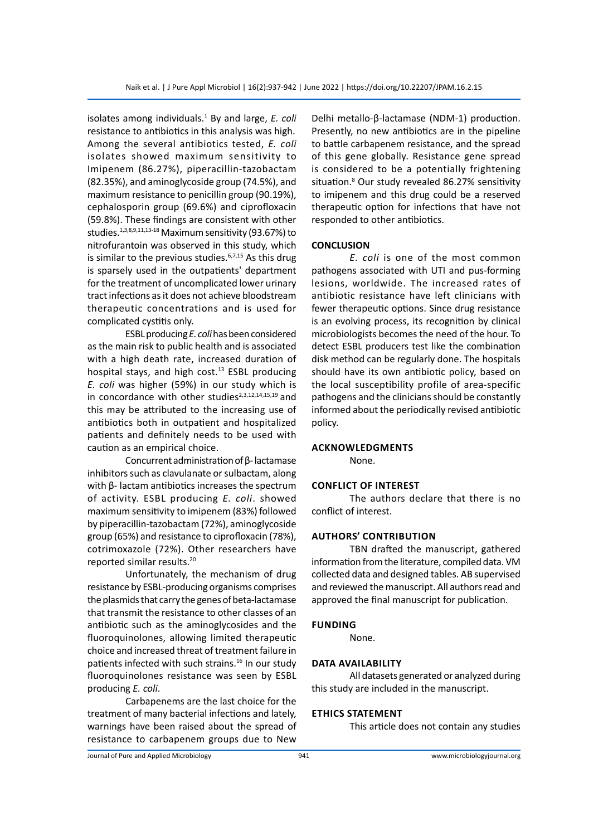isolates among individuals.<sup>1</sup> By and large, E. coli resistance to antibiotics in this analysis was high. Among the several antibiotics tested, *E. coli* isolates showed maximum sensitivity to Imipenem (86.27%), piperacillin-tazobactam (82.35%), and aminoglycoside group (74.5%), and maximum resistance to penicillin group (90.19%), cephalosporin group (69.6%) and ciprofloxacin (59.8%). These findings are consistent with other studies.1,3,8,9,11,13-18 Maximum sensitivity (93.67%) to nitrofurantoin was observed in this study, which is similar to the previous studies. $6,7,15$  As this drug is sparsely used in the outpatients' department for the treatment of uncomplicated lower urinary tract infections as it does not achieve bloodstream therapeutic concentrations and is used for complicated cystitis only.

ESBL producing *E. coli* has been considered as the main risk to public health and is associated with a high death rate, increased duration of hospital stays, and high cost.<sup>13</sup> ESBL producing *E. coli* was higher (59%) in our study which is in concordance with other studies $2,3,12,14,15,19$  and this may be attributed to the increasing use of antibiotics both in outpatient and hospitalized patients and definitely needs to be used with caution as an empirical choice.

Concurrent administration of β- lactamase inhibitors such as clavulanate or sulbactam, along with β- lactam antibiotics increases the spectrum of activity. ESBL producing *E. coli*. showed maximum sensitivity to imipenem (83%) followed by piperacillin-tazobactam (72%), aminoglycoside group (65%) and resistance to ciprofloxacin (78%), cotrimoxazole (72%). Other researchers have reported similar results.20

Unfortunately, the mechanism of drug resistance by ESBL-producing organisms comprises the plasmids that carry the genes of beta-lactamase that transmit the resistance to other classes of an antibiotic such as the aminoglycosides and the fluoroquinolones, allowing limited therapeutic choice and increased threat of treatment failure in patients infected with such strains.<sup>16</sup> In our study fluoroquinolones resistance was seen by ESBL producing *E. coli*.

Carbapenems are the last choice for the treatment of many bacterial infections and lately, warnings have been raised about the spread of resistance to carbapenem groups due to New Delhi metallo-β-lactamase (NDM-1) production. Presently, no new antibiotics are in the pipeline to battle carbapenem resistance, and the spread of this gene globally. Resistance gene spread is considered to be a potentially frightening situation.8 Our study revealed 86.27% sensitivity to imipenem and this drug could be a reserved therapeutic option for infections that have not responded to other antibiotics.

#### **CONCLUSION**

*E. coli* is one of the most common pathogens associated with UTI and pus-forming lesions, worldwide. The increased rates of antibiotic resistance have left clinicians with fewer therapeutic options. Since drug resistance is an evolving process, its recognition by clinical microbiologists becomes the need of the hour. To detect ESBL producers test like the combination disk method can be regularly done. The hospitals should have its own antibiotic policy, based on the local susceptibility profile of area-specific pathogens and the clinicians should be constantly informed about the periodically revised antibiotic policy.

#### **Acknowledgments**

None.

#### **Conflict of interest**

The authors declare that there is no conflict of interest.

#### **Authors' contribution**

TBN drafted the manuscript, gathered information from the literature, compiled data. VM collected data and designed tables. AB supervised and reviewed the manuscript. All authors read and approved the final manuscript for publication.

### **Funding**

None.

# **Data availability**

All datasets generated or analyzed during this study are included in the manuscript.

#### **Ethics statement**

This article does not contain any studies